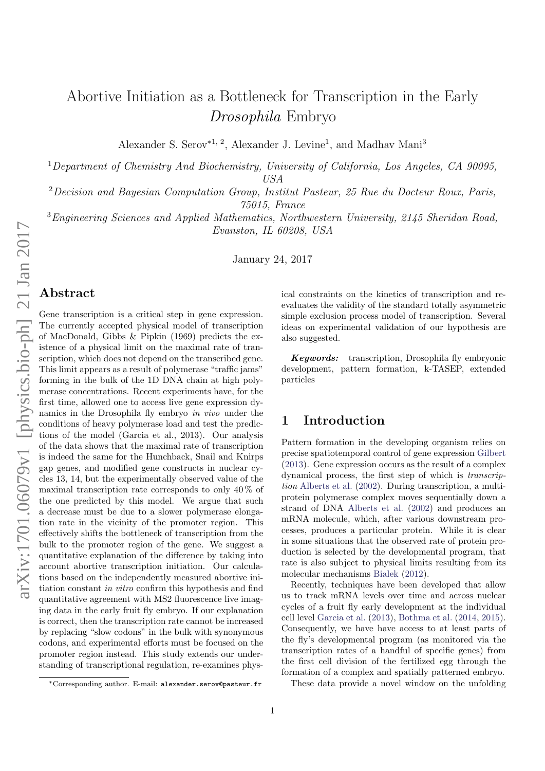# Abortive Initiation as a Bottleneck for Transcription in the Early Drosophila Embryo

Alexander S. Serov<sup>\*1, 2</sup>, Alexander J. Levine<sup>1</sup>, and Madhav Mani<sup>3</sup>

<sup>1</sup>Department of Chemistry And Biochemistry, University of California, Los Angeles, CA 90095, USA

<sup>2</sup>Decision and Bayesian Computation Group, Institut Pasteur, 25 Rue du Docteur Roux, Paris, 75015, France

<sup>3</sup>Engineering Sciences and Applied Mathematics, Northwestern University, 2145 Sheridan Road, Evanston, IL 60208, USA

January 24, 2017

#### Abstract

Gene transcription is a critical step in gene expression. The currently accepted physical model of transcription of MacDonald, Gibbs & Pipkin (1969) predicts the existence of a physical limit on the maximal rate of transcription, which does not depend on the transcribed gene. This limit appears as a result of polymerase "traffic jams" forming in the bulk of the 1D DNA chain at high polymerase concentrations. Recent experiments have, for the first time, allowed one to access live gene expression dynamics in the Drosophila fly embryo in vivo under the conditions of heavy polymerase load and test the predictions of the model (Garcia et al., 2013). Our analysis of the data shows that the maximal rate of transcription is indeed the same for the Hunchback, Snail and Knirps gap genes, and modified gene constructs in nuclear cycles 13, 14, but the experimentally observed value of the maximal transcription rate corresponds to only  $40\,\%$  of the one predicted by this model. We argue that such a decrease must be due to a slower polymerase elongation rate in the vicinity of the promoter region. This effectively shifts the bottleneck of transcription from the bulk to the promoter region of the gene. We suggest a quantitative explanation of the difference by taking into account abortive transcription initiation. Our calculations based on the independently measured abortive initiation constant in vitro confirm this hypothesis and find quantitative agreement with MS2 fluorescence live imaging data in the early fruit fly embryo. If our explanation is correct, then the transcription rate cannot be increased by replacing "slow codons" in the bulk with synonymous codons, and experimental efforts must be focused on the promoter region instead. This study extends our understanding of transcriptional regulation, re-examines physical constraints on the kinetics of transcription and reevaluates the validity of the standard totally asymmetric simple exclusion process model of transcription. Several ideas on experimental validation of our hypothesis are also suggested.

Keywords: transcription, Drosophila fly embryonic development, pattern formation, k-TASEP, extended particles

#### 1 Introduction

Pattern formation in the developing organism relies on precise spatiotemporal control of gene expression [Gilbert](#page-9-0) [\(2013\)](#page-9-0). Gene expression occurs as the result of a complex dynamical process, the first step of which is transcription [Alberts et al.](#page-8-0) [\(2002\)](#page-8-0). During transcription, a multiprotein polymerase complex moves sequentially down a strand of DNA [Alberts et al.](#page-8-0) [\(2002\)](#page-8-0) and produces an mRNA molecule, which, after various downstream processes, produces a particular protein. While it is clear in some situations that the observed rate of protein production is selected by the developmental program, that rate is also subject to physical limits resulting from its molecular mechanisms [Bialek](#page-8-1) [\(2012\)](#page-8-1).

Recently, techniques have been developed that allow us to track mRNA levels over time and across nuclear cycles of a fruit fly early development at the individual cell level [Garcia et al.](#page-9-1) [\(2013\)](#page-9-1), [Bothma et al.](#page-8-2) [\(2014,](#page-8-2) [2015\)](#page-8-3). Consequently, we have have access to at least parts of the fly's developmental program (as monitored via the transcription rates of a handful of specific genes) from the first cell division of the fertilized egg through the formation of a complex and spatially patterned embryo.

These data provide a novel window on the unfolding

<sup>∗</sup>Corresponding author. E-mail: alexander.serov@pasteur.fr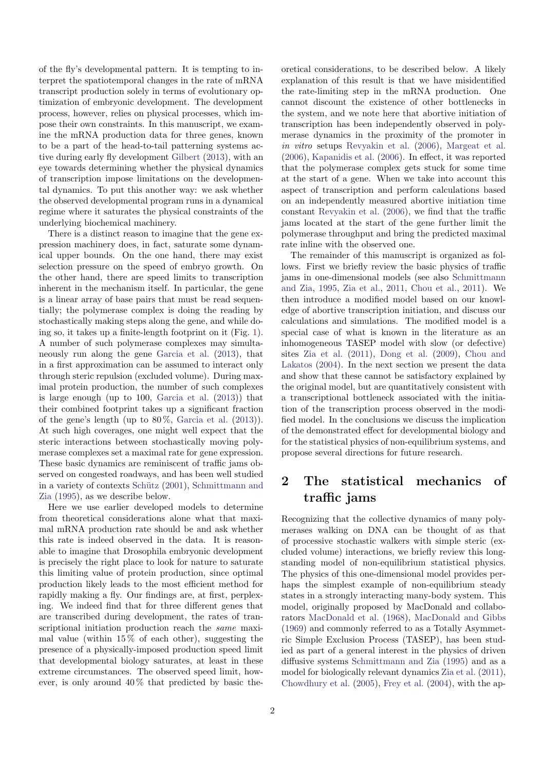of the fly's developmental pattern. It is tempting to interpret the spatiotemporal changes in the rate of mRNA transcript production solely in terms of evolutionary optimization of embryonic development. The development process, however, relies on physical processes, which impose their own constraints. In this manuscript, we examine the mRNA production data for three genes, known to be a part of the head-to-tail patterning systems active during early fly development [Gilbert](#page-9-0) [\(2013\)](#page-9-0), with an eye towards determining whether the physical dynamics of transcription impose limitations on the developmental dynamics. To put this another way: we ask whether the observed developmental program runs in a dynamical regime where it saturates the physical constraints of the underlying biochemical machinery.

There is a distinct reason to imagine that the gene expression machinery does, in fact, saturate some dynamical upper bounds. On the one hand, there may exist selection pressure on the speed of embryo growth. On the other hand, there are speed limits to transcription inherent in the mechanism itself. In particular, the gene is a linear array of base pairs that must be read sequentially; the polymerase complex is doing the reading by stochastically making steps along the gene, and while doing so, it takes up a finite-length footprint on it (Fig. [1\)](#page-2-0). A number of such polymerase complexes may simultaneously run along the gene [Garcia et al.](#page-9-1) [\(2013\)](#page-9-1), that in a first approximation can be assumed to interact only through steric repulsion (excluded volume). During maximal protein production, the number of such complexes is large enough (up to 100, [Garcia et al.](#page-9-1) [\(2013\)](#page-9-1)) that their combined footprint takes up a significant fraction of the gene's length (up to  $80\%$ , [Garcia et al.](#page-9-1)  $(2013)$ ). At such high coverages, one might well expect that the steric interactions between stochastically moving polymerase complexes set a maximal rate for gene expression. These basic dynamics are reminiscent of traffic jams observed on congested roadways, and has been well studied in a variety of contexts Schütz [\(2001\)](#page-9-2), [Schmittmann and](#page-9-3) [Zia](#page-9-3) [\(1995\)](#page-9-3), as we describe below.

Here we use earlier developed models to determine from theoretical considerations alone what that maximal mRNA production rate should be and ask whether this rate is indeed observed in the data. It is reasonable to imagine that Drosophila embryonic development is precisely the right place to look for nature to saturate this limiting value of protein production, since optimal production likely leads to the most efficient method for rapidly making a fly. Our findings are, at first, perplexing. We indeed find that for three different genes that are transcribed during development, the rates of transcriptional initiation production reach the same maximal value (within  $15\%$  of each other), suggesting the presence of a physically-imposed production speed limit that developmental biology saturates, at least in these extreme circumstances. The observed speed limit, however, is only around  $40\%$  that predicted by basic the-

oretical considerations, to be described below. A likely explanation of this result is that we have misidentified the rate-limiting step in the mRNA production. One cannot discount the existence of other bottlenecks in the system, and we note here that abortive initiation of transcription has been independently observed in polymerase dynamics in the proximity of the promoter in in vitro setups [Revyakin et al.](#page-9-4) [\(2006\)](#page-9-4), [Margeat et al.](#page-9-5) [\(2006\)](#page-9-5), [Kapanidis et al.](#page-9-6) [\(2006\)](#page-9-6). In effect, it was reported that the polymerase complex gets stuck for some time at the start of a gene. When we take into account this aspect of transcription and perform calculations based on an independently measured abortive initiation time constant [Revyakin et al.](#page-9-4) [\(2006\)](#page-9-4), we find that the traffic jams located at the start of the gene further limit the polymerase throughput and bring the predicted maximal rate inline with the observed one.

The remainder of this manuscript is organized as follows. First we briefly review the basic physics of traffic jams in one-dimensional models (see also [Schmittmann](#page-9-3) [and Zia,](#page-9-3) [1995,](#page-9-3) [Zia et al.,](#page-10-0) [2011,](#page-10-0) [Chou et al.,](#page-8-4) [2011\)](#page-8-4). We then introduce a modified model based on our knowledge of abortive transcription initiation, and discuss our calculations and simulations. The modified model is a special case of what is known in the literature as an inhomogeneous TASEP model with slow (or defective) sites [Zia et al.](#page-10-0) [\(2011\)](#page-10-0), [Dong et al.](#page-8-5) [\(2009\)](#page-8-5), [Chou and](#page-8-6) [Lakatos](#page-8-6) [\(2004\)](#page-8-6). In the next section we present the data and show that these cannot be satisfactory explained by the original model, but are quantitatively consistent with a transcriptional bottleneck associated with the initiation of the transcription process observed in the modified model. In the conclusions we discuss the implication of the demonstrated effect for developmental biology and for the statistical physics of non-equilibrium systems, and propose several directions for future research.

## 2 The statistical mechanics of traffic jams

Recognizing that the collective dynamics of many polymerases walking on DNA can be thought of as that of processive stochastic walkers with simple steric (excluded volume) interactions, we briefly review this longstanding model of non-equilibrium statistical physics. The physics of this one-dimensional model provides perhaps the simplest example of non-equilibrium steady states in a strongly interacting many-body system. This model, originally proposed by MacDonald and collaborators [MacDonald et al.](#page-9-7) [\(1968\)](#page-9-7), [MacDonald and Gibbs](#page-9-8) [\(1969\)](#page-9-8) and commonly referred to as a Totally Asymmetric Simple Exclusion Process (TASEP), has been studied as part of a general interest in the physics of driven diffusive systems [Schmittmann and Zia](#page-9-3) [\(1995\)](#page-9-3) and as a model for biologically relevant dynamics [Zia et al.](#page-10-0) [\(2011\)](#page-10-0), [Chowdhury et al.](#page-8-7) [\(2005\)](#page-8-7), [Frey et al.](#page-9-9) [\(2004\)](#page-9-9), with the ap-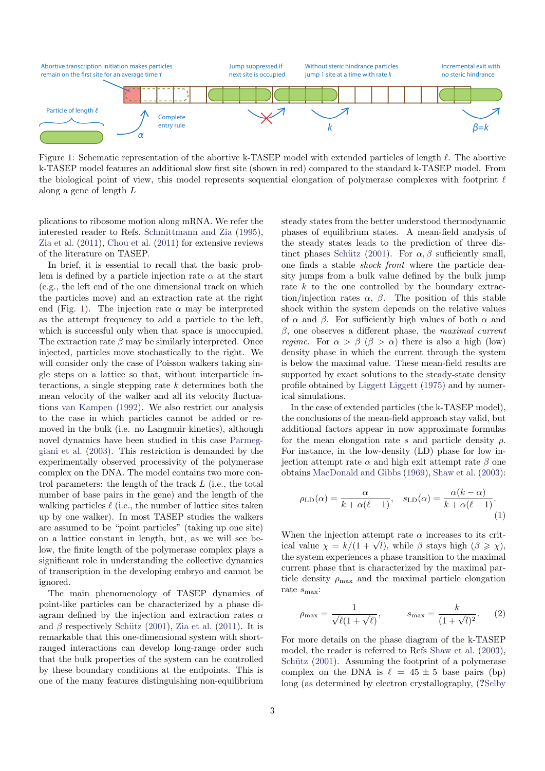<span id="page-2-0"></span>

Figure 1: Schematic representation of the abortive k-TASEP model with extended particles of length  $\ell$ . The abortive k-TASEP model features an additional slow first site (shown in red) compared to the standard k-TASEP model. From the biological point of view, this model represents sequential elongation of polymerase complexes with footprint  $\ell$ along a gene of length L

plications to ribosome motion along mRNA. We refer the interested reader to Refs. [Schmittmann and Zia](#page-9-3) [\(1995\)](#page-9-3), [Zia et al.](#page-10-0) [\(2011\)](#page-10-0), [Chou et al.](#page-8-4) [\(2011\)](#page-8-4) for extensive reviews of the literature on TASEP.

In brief, it is essential to recall that the basic problem is defined by a particle injection rate  $\alpha$  at the start (e.g., the left end of the one dimensional track on which the particles move) and an extraction rate at the right end (Fig. [1\)](#page-2-0). The injection rate  $\alpha$  may be interpreted as the attempt frequency to add a particle to the left, which is successful only when that space is unoccupied. The extraction rate  $\beta$  may be similarly interpreted. Once injected, particles move stochastically to the right. We will consider only the case of Poisson walkers taking single steps on a lattice so that, without interparticle interactions, a single stepping rate  $k$  determines both the mean velocity of the walker and all its velocity fluctuations [van Kampen](#page-10-1) [\(1992\)](#page-10-1). We also restrict our analysis to the case in which particles cannot be added or removed in the bulk (i.e. no Langmuir kinetics), although novel dynamics have been studied in this case [Parmeg](#page-9-10)[giani et al.](#page-9-10) [\(2003\)](#page-9-10). This restriction is demanded by the experimentally observed processivity of the polymerase complex on the DNA. The model contains two more control parameters: the length of the track L (i.e., the total number of base pairs in the gene) and the length of the walking particles  $\ell$  (i.e., the number of lattice sites taken up by one walker). In most TASEP studies the walkers are assumed to be "point particles" (taking up one site) on a lattice constant in length, but, as we will see below, the finite length of the polymerase complex plays a significant role in understanding the collective dynamics of transcription in the developing embryo and cannot be ignored.

The main phenomenology of TASEP dynamics of point-like particles can be characterized by a phase diagram defined by the injection and extraction rates  $\alpha$ and  $\beta$  respectively Schütz [\(2001\)](#page-9-2), [Zia et al.](#page-10-0) [\(2011\)](#page-10-0). It is remarkable that this one-dimensional system with shortranged interactions can develop long-range order such that the bulk properties of the system can be controlled by these boundary conditions at the endpoints. This is one of the many features distinguishing non-equilibrium

steady states from the better understood thermodynamic phases of equilibrium states. A mean-field analysis of the steady states leads to the prediction of three dis-tinct phases Schütz [\(2001\)](#page-9-2). For  $\alpha, \beta$  sufficiently small, one finds a stable shock front where the particle density jumps from a bulk value defined by the bulk jump rate k to the one controlled by the boundary extraction/injection rates  $\alpha$ ,  $\beta$ . The position of this stable shock within the system depends on the relative values of  $\alpha$  and  $\beta$ . For sufficiently high values of both  $\alpha$  and  $\beta$ , one observes a different phase, the maximal current *regime.* For  $\alpha > \beta$  ( $\beta > \alpha$ ) there is also a high (low) density phase in which the current through the system is below the maximal value. These mean-field results are supported by exact solutions to the steady-state density profile obtained by [Liggett](#page-9-11) [Liggett](#page-9-11) [\(1975\)](#page-9-11) and by numerical simulations.

In the case of extended particles (the k-TASEP model), the conclusions of the mean-field approach stay valid, but additional factors appear in now approximate formulas for the mean elongation rate s and particle density  $\rho$ . For instance, in the low-density (LD) phase for low injection attempt rate α and high exit attempt rate β one obtains [MacDonald and Gibbs](#page-9-8) [\(1969\)](#page-9-8), [Shaw et al.](#page-10-2) [\(2003\)](#page-10-2):

<span id="page-2-1"></span>
$$
\rho_{\text{LD}}(\alpha) = \frac{\alpha}{k + \alpha(\ell - 1)}, \quad s_{\text{LD}}(\alpha) = \frac{\alpha(k - \alpha)}{k + \alpha(\ell - 1)}.
$$
\n(1)

When the injection attempt rate  $\alpha$  increases to its critwhen the injection attempt rate  $\alpha$  increases to its crit-<br>ical value  $\chi = k/(1 + \sqrt{l})$ , while  $\beta$  stays high  $(\beta \ge \chi)$ , the system experiences a phase transition to the maximal current phase that is characterized by the maximal particle density  $\rho_{\text{max}}$  and the maximal particle elongation rate  $s_{\text{max}}$ :

<span id="page-2-2"></span>
$$
\rho_{\text{max}} = \frac{1}{\sqrt{\ell}(1 + \sqrt{\ell})}, \qquad s_{\text{max}} = \frac{k}{(1 + \sqrt{l})^2}.
$$
\n(2)

For more details on the phase diagram of the k-TASEP model, the reader is referred to Refs [Shaw et al.](#page-10-2) [\(2003\)](#page-10-2), Schütz  $(2001)$ . Assuming the footprint of a polymerase complex on the DNA is  $\ell = 45 \pm 5$  base pairs (bp) long (as determined by electron crystallography, (?[Selby](#page-9-12)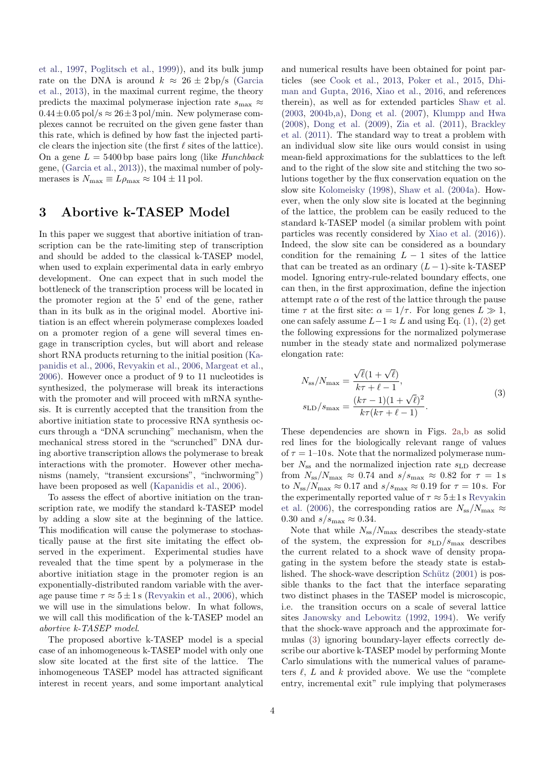[et al.,](#page-9-12) [1997,](#page-9-12) [Poglitsch et al.,](#page-9-13) [1999\)](#page-9-13)), and its bulk jump rate on the DNA is around  $k \approx 26 \pm 2 \text{ bp/s}$  [\(Garcia](#page-9-1) [et al.,](#page-9-1) [2013\)](#page-9-1), in the maximal current regime, the theory predicts the maximal polymerase injection rate  $s_{\text{max}} \approx$  $0.44\pm0.05\,\mathrm{pol/s}\approx26\pm3\,\mathrm{pol/min}$ . New polymerase complexes cannot be recruited on the given gene faster than this rate, which is defined by how fast the injected particle clears the injection site (the first  $\ell$  sites of the lattice). On a gene  $L = 5400$  bp base pairs long (like *Hunchback* gene, [\(Garcia et al.,](#page-9-1) [2013\)](#page-9-1)), the maximal number of polymerases is  $N_{\text{max}} \equiv L\rho_{\text{max}} \approx 104 \pm 11 \text{ pol.}$ 

#### 3 Abortive k-TASEP Model

In this paper we suggest that abortive initiation of transcription can be the rate-limiting step of transcription and should be added to the classical k-TASEP model, when used to explain experimental data in early embryo development. One can expect that in such model the bottleneck of the transcription process will be located in the promoter region at the 5' end of the gene, rather than in its bulk as in the original model. Abortive initiation is an effect wherein polymerase complexes loaded on a promoter region of a gene will several times engage in transcription cycles, but will abort and release short RNA products returning to the initial position [\(Ka](#page-9-6)[panidis et al.,](#page-9-6) [2006,](#page-9-6) [Revyakin et al.,](#page-9-4) [2006,](#page-9-4) [Margeat et al.,](#page-9-5) [2006\)](#page-9-5). However once a product of 9 to 11 nucleotides is synthesized, the polymerase will break its interactions with the promoter and will proceed with mRNA synthesis. It is currently accepted that the transition from the abortive initiation state to processive RNA synthesis occurs through a "DNA scrunching" mechanism, when the mechanical stress stored in the "scrunched" DNA during abortive transcription allows the polymerase to break interactions with the promoter. However other mechanisms (namely, "transient excursions", "inchworming") have been proposed as well [\(Kapanidis et al.,](#page-9-6) [2006\)](#page-9-6).

To assess the effect of abortive initiation on the transcription rate, we modify the standard k-TASEP model by adding a slow site at the beginning of the lattice. This modification will cause the polymerase to stochastically pause at the first site imitating the effect observed in the experiment. Experimental studies have revealed that the time spent by a polymerase in the abortive initiation stage in the promoter region is an exponentially-distributed random variable with the average pause time  $\tau \approx 5 \pm 1$  s [\(Revyakin et al.,](#page-9-4) [2006\)](#page-9-4), which we will use in the simulations below. In what follows, we will call this modification of the k-TASEP model an abortive k-TASEP model.

The proposed abortive k-TASEP model is a special case of an inhomogeneous k-TASEP model with only one slow site located at the first site of the lattice. The inhomogeneous TASEP model has attracted significant interest in recent years, and some important analytical

and numerical results have been obtained for point particles (see [Cook et al.,](#page-8-8) [2013,](#page-8-8) [Poker et al.,](#page-9-14) [2015,](#page-9-14) [Dhi](#page-8-9)[man and Gupta,](#page-8-9) [2016,](#page-8-9) [Xiao et al.,](#page-10-3) [2016,](#page-10-3) and references therein), as well as for extended particles [Shaw et al.](#page-10-2) [\(2003,](#page-10-2) [2004b,](#page-10-4)[a\)](#page-10-5), [Dong et al.](#page-8-10) [\(2007\)](#page-8-10), [Klumpp and Hwa](#page-9-15) [\(2008\)](#page-9-15), [Dong et al.](#page-8-5) [\(2009\)](#page-8-5), [Zia et al.](#page-10-0) [\(2011\)](#page-10-0), [Brackley](#page-8-11) [et al.](#page-8-11) [\(2011\)](#page-8-11). The standard way to treat a problem with an individual slow site like ours would consist in using mean-field approximations for the sublattices to the left and to the right of the slow site and stitching the two solutions together by the flux conservation equation on the slow site [Kolomeisky](#page-9-16) [\(1998\)](#page-9-16), [Shaw et al.](#page-10-5) [\(2004a\)](#page-10-5). However, when the only slow site is located at the beginning of the lattice, the problem can be easily reduced to the standard k-TASEP model (a similar problem with point particles was recently considered by [Xiao et al.](#page-10-3) [\(2016\)](#page-10-3)). Indeed, the slow site can be considered as a boundary condition for the remaining  $L - 1$  sites of the lattice that can be treated as an ordinary  $(L-1)$ -site k-TASEP model. Ignoring entry-rule-related boundary effects, one can then, in the first approximation, define the injection attempt rate  $\alpha$  of the rest of the lattice through the pause time  $\tau$  at the first site:  $\alpha = 1/\tau$ . For long genes  $L \gg 1$ , one can safely assume  $L-1 \approx L$  and using Eq. [\(1\)](#page-2-1), [\(2\)](#page-2-2) get the following expressions for the normalized polymerase number in the steady state and normalized polymerase elongation rate:

<span id="page-3-0"></span>
$$
N_{\rm ss}/N_{\rm max} = \frac{\sqrt{\ell}(1+\sqrt{\ell})}{k\tau + \ell - 1},
$$
  
\n
$$
s_{\rm LD}/s_{\rm max} = \frac{(k\tau - 1)(1+\sqrt{\ell})^2}{k\tau(k\tau + \ell - 1)}.
$$
 (3)

These dependencies are shown in Figs. [2a,](#page-4-0)[b](#page-4-1) as solid red lines for the biologically relevant range of values of  $\tau = 1$ –10 s. Note that the normalized polymerase number  $N_{\rm ss}$  and the normalized injection rate  $s_{\rm LD}$  decrease from  $N_{\rm ss}/N_{\rm max} \approx 0.74$  and  $s/s_{\rm max} \approx 0.82$  for  $\tau = 1 \,\rm s$ to  $N_{\rm ss}/N_{\rm max} \approx 0.17$  and  $s/s_{\rm max} \approx 0.19$  for  $\tau = 10$  s. For the experimentally reported value of  $\tau \approx 5 \pm 1$  s [Revyakin](#page-9-4) [et al.](#page-9-4) [\(2006\)](#page-9-4), the corresponding ratios are  $N_{ss}/N_{\text{max}} \approx$ 0.30 and  $s/s_{\text{max}} \approx 0.34$ .

Note that while  $N_{ss}/N_{\text{max}}$  describes the steady-state of the system, the expression for  $s_{\text{LD}}/s_{\text{max}}$  describes the current related to a shock wave of density propagating in the system before the steady state is established. The shock-wave description Schütz  $(2001)$  is possible thanks to the fact that the interface separating two distinct phases in the TASEP model is microscopic, i.e. the transition occurs on a scale of several lattice sites [Janowsky and Lebowitz](#page-9-17) [\(1992,](#page-9-17) [1994\)](#page-9-18). We verify that the shock-wave approach and the approximate formulas [\(3\)](#page-3-0) ignoring boundary-layer effects correctly describe our abortive k-TASEP model by performing Monte Carlo simulations with the numerical values of parameters  $\ell$ , L and k provided above. We use the "complete" entry, incremental exit" rule implying that polymerases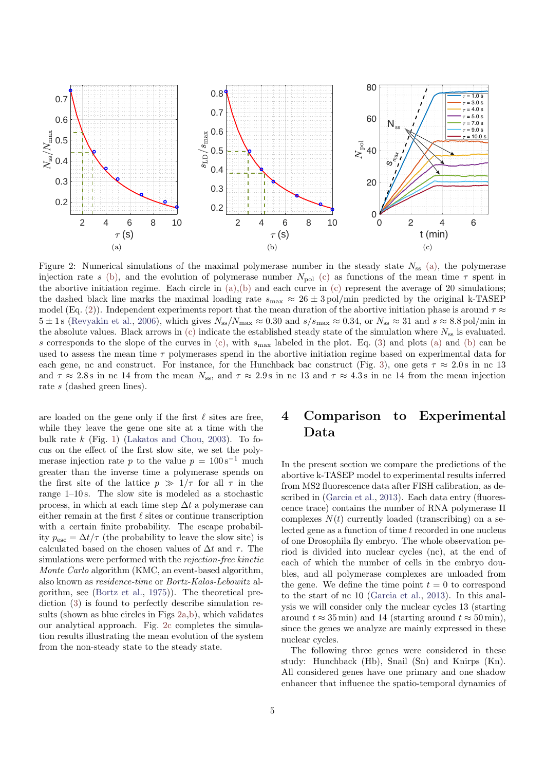<span id="page-4-0"></span>

<span id="page-4-1"></span>Figure 2: Numerical simulations of the maximal polymerase number in the steady state  $N_{ss}$  [\(a\),](#page-4-0) the polymerase injection rate s [\(b\),](#page-4-1) and the evolution of polymerase number  $N_{pol}$  [\(c\)](#page-4-2) as functions of the mean time  $\tau$  spent in the abortive initiation regime. Each circle in  $(a),(b)$  $(a),(b)$  and each curve in  $(c)$  represent the average of 20 simulations; the dashed black line marks the maximal loading rate  $s_{\text{max}} \approx 26 \pm 3 \text{ pol/min}$  predicted by the original k-TASEP model (Eq. [\(2\)](#page-2-2)). Independent experiments report that the mean duration of the abortive initiation phase is around  $\tau \approx$  $5 \pm 1 \text{ s}$  [\(Revyakin et al.,](#page-9-4) [2006\)](#page-9-4), which gives  $N_{ss}/N_{\text{max}} \approx 0.30$  and  $s/s_{\text{max}} \approx 0.34$ , or  $N_{ss} \approx 31$  and  $s \approx 8.8 \text{ pol/min}$  in the absolute values. Black arrows in [\(c\)](#page-4-2) indicate the established steady state of the simulation where  $N_{ss}$  is evaluated. s corresponds to the slope of the curves in  $(c)$ , with  $s_{\text{max}}$  labeled in the plot. Eq. [\(3\)](#page-3-0) and plots [\(a\)](#page-4-0) and [\(b\)](#page-4-1) can be used to assess the mean time  $\tau$  polymerases spend in the abortive initiation regime based on experimental data for each gene, nc and construct. For instance, for the Hunchback bac construct (Fig. [3\)](#page-5-0), one gets  $\tau \approx 2.0 \text{ s}$  in nc 13 and  $\tau \approx 2.8$  s in nc 14 from the mean  $N_{ss}$ , and  $\tau \approx 2.9$  s in nc 13 and  $\tau \approx 4.3$  s in nc 14 from the mean injection rate s (dashed green lines).

are loaded on the gene only if the first  $\ell$  sites are free, while they leave the gene one site at a time with the bulk rate  $k$  (Fig. [1\)](#page-2-0) [\(Lakatos and Chou,](#page-9-19) [2003\)](#page-9-19). To focus on the effect of the first slow site, we set the polymerase injection rate p to the value  $p = 100 s^{-1}$  much greater than the inverse time a polymerase spends on the first site of the lattice  $p \gg 1/\tau$  for all  $\tau$  in the range 1–10 s. The slow site is modeled as a stochastic process, in which at each time step  $\Delta t$  a polymerase can either remain at the first  $\ell$  sites or continue transcription with a certain finite probability. The escape probability  $p_{\text{esc}} = \Delta t / \tau$  (the probability to leave the slow site) is calculated based on the chosen values of  $\Delta t$  and  $\tau$ . The simulations were performed with the rejection-free kinetic Monte Carlo algorithm (KMC, an event-based algorithm, also known as residence-time or Bortz-Kalos-Lebowitz algorithm, see [\(Bortz et al.,](#page-8-12) [1975\)](#page-8-12)). The theoretical prediction [\(3\)](#page-3-0) is found to perfectly describe simulation results (shown as blue circles in Figs [2a,](#page-4-0)[b\)](#page-4-1), which validates our analytical approach. Fig. [2c](#page-4-2) completes the simulation results illustrating the mean evolution of the system from the non-steady state to the steady state.

## <span id="page-4-2"></span>4 Comparison to Experimental Data

In the present section we compare the predictions of the abortive k-TASEP model to experimental results inferred from MS2 fluorescence data after FISH calibration, as described in [\(Garcia et al.,](#page-9-1) [2013\)](#page-9-1). Each data entry (fluorescence trace) contains the number of RNA polymerase II complexes  $N(t)$  currently loaded (transcribing) on a selected gene as a function of time t recorded in one nucleus of one Drosophila fly embryo. The whole observation period is divided into nuclear cycles (nc), at the end of each of which the number of cells in the embryo doubles, and all polymerase complexes are unloaded from the gene. We define the time point  $t = 0$  to correspond to the start of nc 10 [\(Garcia et al.,](#page-9-1) [2013\)](#page-9-1). In this analysis we will consider only the nuclear cycles 13 (starting around  $t \approx 35$  min) and 14 (starting around  $t \approx 50$  min), since the genes we analyze are mainly expressed in these nuclear cycles.

The following three genes were considered in these study: Hunchback (Hb), Snail (Sn) and Knirps (Kn). All considered genes have one primary and one shadow enhancer that influence the spatio-temporal dynamics of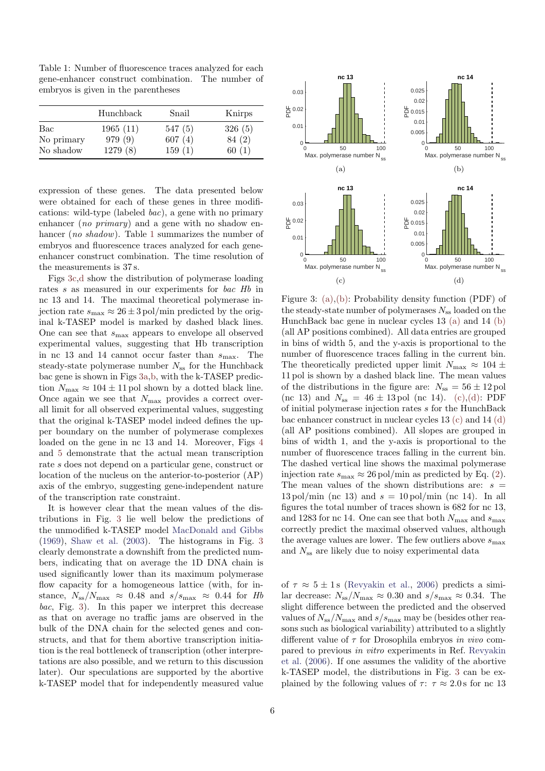<span id="page-5-1"></span>Table 1: Number of fluorescence traces analyzed for each gene-enhancer construct combination. The number of embryos is given in the parentheses

|            | Hunchback | Snail  | Knirps |
|------------|-----------|--------|--------|
| Bac        | 1965(11)  | 547(5) | 326(5) |
| No primary | 979 (9)   | 607(4) | 84 (2) |
| No shadow  | 1279 (8)  | 159(1) | 60(1)  |

expression of these genes. The data presented below were obtained for each of these genes in three modifications: wild-type (labeled bac), a gene with no primary enhancer (no primary) and a gene with no shadow en-hancer (no shadow). Table [1](#page-5-1) summarizes the number of embryos and fluorescence traces analyzed for each geneenhancer construct combination. The time resolution of the measurements is 37 s.

Figs [3c,](#page-5-2)[d](#page-5-3) show the distribution of polymerase loading rates s as measured in our experiments for bac Hb in nc 13 and 14. The maximal theoretical polymerase injection rate  $s_{\text{max}} \approx 26 \pm 3 \,\text{pol/min}$  predicted by the original k-TASEP model is marked by dashed black lines. One can see that  $s_{\text{max}}$  appears to envelope all observed experimental values, suggesting that Hb transcription in nc 13 and 14 cannot occur faster than  $s_{\text{max}}$ . The steady-state polymerase number  $N_{ss}$  for the Hunchback bac gene is shown in Figs [3a,](#page-5-4)[b,](#page-5-5) with the k-TASEP prediction  $N_{\text{max}} \approx 104 \pm 11$  pol shown by a dotted black line. Once again we see that  $N_{\text{max}}$  provides a correct overall limit for all observed experimental values, suggesting that the original k-TASEP model indeed defines the upper boundary on the number of polymerase complexes loaded on the gene in nc 13 and 14. Moreover, Figs [4](#page-6-0) and [5](#page-6-1) demonstrate that the actual mean transcription rate s does not depend on a particular gene, construct or location of the nucleus on the anterior-to-posterior (AP) axis of the embryo, suggesting gene-independent nature of the transcription rate constraint.

It is however clear that the mean values of the distributions in Fig. [3](#page-5-0) lie well below the predictions of the unmodified k-TASEP model [MacDonald and Gibbs](#page-9-8) [\(1969\)](#page-9-8), [Shaw et al.](#page-10-2) [\(2003\)](#page-10-2). The histograms in Fig. [3](#page-5-0) clearly demonstrate a downshift from the predicted numbers, indicating that on average the 1D DNA chain is used significantly lower than its maximum polymerase flow capacity for a homogeneous lattice (with, for instance,  $N_{\rm ss}/N_{\rm max} \approx 0.48$  and  $s/s_{\rm max} \approx 0.44$  for Hb bac, Fig. [3\)](#page-5-0). In this paper we interpret this decrease as that on average no traffic jams are observed in the bulk of the DNA chain for the selected genes and constructs, and that for them abortive transcription initiation is the real bottleneck of transcription (other interpretations are also possible, and we return to this discussion later). Our speculations are supported by the abortive k-TASEP model that for independently measured value

<span id="page-5-5"></span><span id="page-5-4"></span><span id="page-5-2"></span><span id="page-5-0"></span>

<span id="page-5-3"></span>Figure 3: [\(a\)](#page-5-4)[,\(b\):](#page-5-5) Probability density function (PDF) of the steady-state number of polymerases  $N_{ss}$  loaded on the HunchBack bac gene in nuclear cycles 13 [\(a\)](#page-5-4) and 14 [\(b\)](#page-5-5) (all AP positions combined). All data entries are grouped in bins of width 5, and the y-axis is proportional to the number of fluorescence traces falling in the current bin. The theoretically predicted upper limit  $N_{\text{max}} \approx 104 \pm$ 11 pol is shown by a dashed black line. The mean values of the distributions in the figure are:  $N_{ss} = 56 \pm 12$  pol (nc 13) and  $N_{ss} = 46 \pm 13 \,\text{pol}$  (nc 14). [\(c\)](#page-5-2)[,\(d\):](#page-5-3) PDF of initial polymerase injection rates s for the HunchBack bac enhancer construct in nuclear cycles 13 [\(c\)](#page-5-2) and 14 [\(d\)](#page-5-3) (all AP positions combined). All slopes are grouped in bins of width 1, and the y-axis is proportional to the number of fluorescence traces falling in the current bin. The dashed vertical line shows the maximal polymerase injection rate  $s_{\text{max}} \approx 26 \text{ pol/min}$  as predicted by Eq. [\(2\)](#page-2-2). The mean values of the shown distributions are:  $s =$  $13 \text{ pol/min}$  (nc 13) and  $s = 10 \text{ pol/min}$  (nc 14). In all figures the total number of traces shown is 682 for nc 13, and 1283 for nc 14. One can see that both  $N_{\text{max}}$  and  $s_{\text{max}}$ correctly predict the maximal observed values, although the average values are lower. The few outliers above  $s_{\text{max}}$ and  $N_{ss}$  are likely due to noisy experimental data

of  $\tau \approx 5 \pm 1$  s [\(Revyakin et al.,](#page-9-4) [2006\)](#page-9-4) predicts a similar decrease:  $N_{ss}/N_{\text{max}} \approx 0.30$  and  $s/s_{\text{max}} \approx 0.34$ . The slight difference between the predicted and the observed values of  $N_{ss}/N_{\text{max}}$  and  $s/s_{\text{max}}$  may be (besides other reasons such as biological variability) attributed to a slightly different value of  $\tau$  for Drosophila embryos in vivo compared to previous in vitro experiments in Ref. [Revyakin](#page-9-4) [et al.](#page-9-4) [\(2006\)](#page-9-4). If one assumes the validity of the abortive k-TASEP model, the distributions in Fig. [3](#page-5-0) can be explained by the following values of  $\tau$ :  $\tau \approx 2.0$  s for nc 13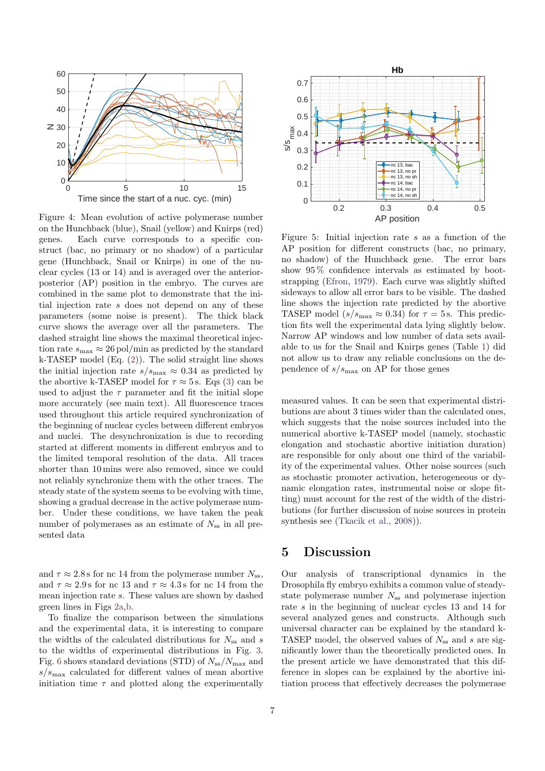<span id="page-6-0"></span>

Figure 4: Mean evolution of active polymerase number on the Hunchback (blue), Snail (yellow) and Knirps (red) genes. Each curve corresponds to a specific construct (bac, no primary or no shadow) of a particular gene (Hunchback, Snail or Knirps) in one of the nuclear cycles (13 or 14) and is averaged over the anteriorposterior (AP) position in the embryo. The curves are combined in the same plot to demonstrate that the initial injection rate s does not depend on any of these parameters (some noise is present). The thick black curve shows the average over all the parameters. The dashed straight line shows the maximal theoretical injection rate  $s_{\text{max}} \approx 26 \,\text{pol/min}$  as predicted by the standard k-TASEP model (Eq. [\(2\)](#page-2-2)). The solid straight line shows the initial injection rate  $s/s_{\text{max}} \approx 0.34$  as predicted by the abortive k-TASEP model for  $\tau \approx 5$  s. Eqs [\(3\)](#page-3-0) can be used to adjust the  $\tau$  parameter and fit the initial slope more accurately (see main text). All fluorescence traces used throughout this article required synchronization of the beginning of nuclear cycles between different embryos and nuclei. The desynchronization is due to recording started at different moments in different embryos and to the limited temporal resolution of the data. All traces shorter than 10 mins were also removed, since we could not reliably synchronize them with the other traces. The steady state of the system seems to be evolving with time, showing a gradual decrease in the active polymerase number. Under these conditions, we have taken the peak number of polymerases as an estimate of  $N_{\rm ss}$  in all presented data

and  $\tau \approx 2.8$  s for nc 14 from the polymerase number  $N_{ss}$ , and  $\tau \approx 2.9$  s for nc 13 and  $\tau \approx 4.3$  s for nc 14 from the mean injection rate s. These values are shown by dashed green lines in Figs [2a,](#page-4-0)[b.](#page-4-1)

To finalize the comparison between the simulations and the experimental data, it is interesting to compare the widths of the calculated distributions for  $N_{ss}$  and s to the widths of experimental distributions in Fig. [3.](#page-5-0) Fig. [6](#page-7-0) shows standard deviations (STD) of  $N_{ss}/N_{\text{max}}$  and  $s/s<sub>max</sub>$  calculated for different values of mean abortive initiation time  $\tau$  and plotted along the experimentally

<span id="page-6-1"></span>

Figure 5: Initial injection rate  $s$  as a function of the AP position for different constructs (bac, no primary, no shadow) of the Hunchback gene. The error bars show 95 % confidence intervals as estimated by bootstrapping [\(Efron,](#page-9-20) [1979\)](#page-9-20). Each curve was slightly shifted sideways to allow all error bars to be visible. The dashed line shows the injection rate predicted by the abortive TASEP model ( $s/s_{\text{max}} \approx 0.34$ ) for  $\tau = 5$  s. This prediction fits well the experimental data lying slightly below. Narrow AP windows and low number of data sets available to us for the Snail and Knirps genes (Table [1\)](#page-5-1) did not allow us to draw any reliable conclusions on the dependence of  $s/s_{\text{max}}$  on AP for those genes

measured values. It can be seen that experimental distributions are about 3 times wider than the calculated ones, which suggests that the noise sources included into the numerical abortive k-TASEP model (namely, stochastic elongation and stochastic abortive initiation duration) are responsible for only about one third of the variability of the experimental values. Other noise sources (such as stochastic promoter activation, heterogeneous or dynamic elongation rates, instrumental noise or slope fitting) must account for the rest of the width of the distributions (for further discussion of noise sources in protein synthesis see [\(Tkacik et al.,](#page-10-6) [2008\)](#page-10-6)).

#### 5 Discussion

Our analysis of transcriptional dynamics in the Drosophila fly embryo exhibits a common value of steadystate polymerase number  $N_{ss}$  and polymerase injection rate s in the beginning of nuclear cycles 13 and 14 for several analyzed genes and constructs. Although such universal character can be explained by the standard k-TASEP model, the observed values of  $N_{ss}$  and s are significantly lower than the theoretically predicted ones. In the present article we have demonstrated that this difference in slopes can be explained by the abortive initiation process that effectively decreases the polymerase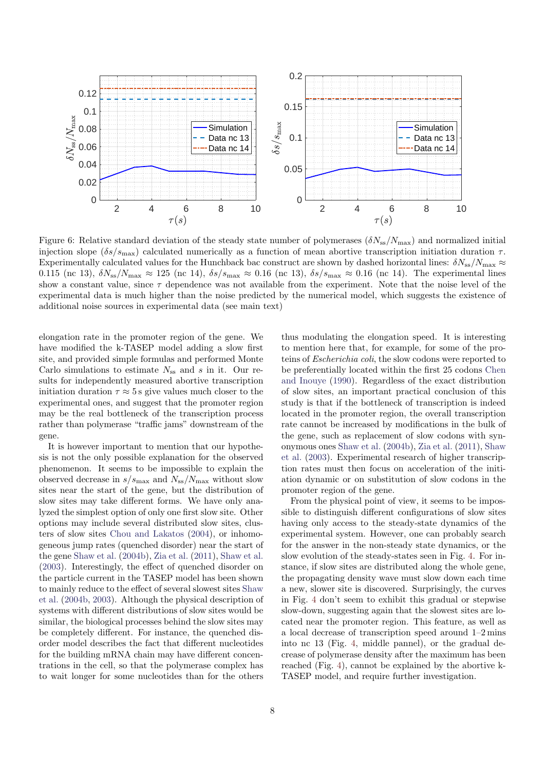<span id="page-7-0"></span>

Figure 6: Relative standard deviation of the steady state number of polymerases  $(\delta N_{ss}/N_{\rm max})$  and normalized initial injection slope  $(\delta s/s_{\text{max}})$  calculated numerically as a function of mean abortive transcription initiation duration  $\tau$ . Experimentally calculated values for the Hunchback bac construct are shown by dashed horizontal lines:  $\delta N_{ss}/N_{\rm max} \approx$ 0.115 (nc 13),  $\delta N_{\rm ss}/N_{\rm max} \approx 125$  (nc 14),  $\delta s/s_{\rm max} \approx 0.16$  (nc 13),  $\delta s/s_{\rm max} \approx 0.16$  (nc 14). The experimental lines show a constant value, since  $\tau$  dependence was not available from the experiment. Note that the noise level of the experimental data is much higher than the noise predicted by the numerical model, which suggests the existence of additional noise sources in experimental data (see main text)

elongation rate in the promoter region of the gene. We have modified the k-TASEP model adding a slow first site, and provided simple formulas and performed Monte Carlo simulations to estimate  $N_{ss}$  and s in it. Our results for independently measured abortive transcription initiation duration  $\tau \approx 5$  s give values much closer to the experimental ones, and suggest that the promoter region may be the real bottleneck of the transcription process rather than polymerase "traffic jams" downstream of the gene.

It is however important to mention that our hypothesis is not the only possible explanation for the observed phenomenon. It seems to be impossible to explain the observed decrease in  $s/s_{\text{max}}$  and  $N_{\text{ss}}/N_{\text{max}}$  without slow sites near the start of the gene, but the distribution of slow sites may take different forms. We have only analyzed the simplest option of only one first slow site. Other options may include several distributed slow sites, clusters of slow sites [Chou and Lakatos](#page-8-6) [\(2004\)](#page-8-6), or inhomogeneous jump rates (quenched disorder) near the start of the gene [Shaw et al.](#page-10-4) [\(2004b\)](#page-10-4), [Zia et al.](#page-10-0) [\(2011\)](#page-10-0), [Shaw et al.](#page-10-2) [\(2003\)](#page-10-2). Interestingly, the effect of quenched disorder on the particle current in the TASEP model has been shown to mainly reduce to the effect of several slowest sites [Shaw](#page-10-4) [et al.](#page-10-4) [\(2004b,](#page-10-4) [2003\)](#page-10-2). Although the physical description of systems with different distributions of slow sites would be similar, the biological processes behind the slow sites may be completely different. For instance, the quenched disorder model describes the fact that different nucleotides for the building mRNA chain may have different concentrations in the cell, so that the polymerase complex has to wait longer for some nucleotides than for the others

thus modulating the elongation speed. It is interesting to mention here that, for example, for some of the proteins of Escherichia coli, the slow codons were reported to be preferentially located within the first 25 codons [Chen](#page-8-13) [and Inouye](#page-8-13) [\(1990\)](#page-8-13). Regardless of the exact distribution of slow sites, an important practical conclusion of this study is that if the bottleneck of transcription is indeed located in the promoter region, the overall transcription rate cannot be increased by modifications in the bulk of the gene, such as replacement of slow codons with synonymous ones [Shaw et al.](#page-10-4) [\(2004b\)](#page-10-4), [Zia et al.](#page-10-0) [\(2011\)](#page-10-0), [Shaw](#page-10-2) [et al.](#page-10-2) [\(2003\)](#page-10-2). Experimental research of higher transcription rates must then focus on acceleration of the initiation dynamic or on substitution of slow codons in the promoter region of the gene.

From the physical point of view, it seems to be impossible to distinguish different configurations of slow sites having only access to the steady-state dynamics of the experimental system. However, one can probably search for the answer in the non-steady state dynamics, or the slow evolution of the steady-states seen in Fig. [4.](#page-6-0) For instance, if slow sites are distributed along the whole gene, the propagating density wave must slow down each time a new, slower site is discovered. Surprisingly, the curves in Fig. [4](#page-6-0) don't seem to exhibit this gradual or stepwise slow-down, suggesting again that the slowest sites are located near the promoter region. This feature, as well as a local decrease of transcription speed around 1–2 mins into nc 13 (Fig. [4,](#page-6-0) middle pannel), or the gradual decrease of polymerase density after the maximum has been reached (Fig. [4\)](#page-6-0), cannot be explained by the abortive k-TASEP model, and require further investigation.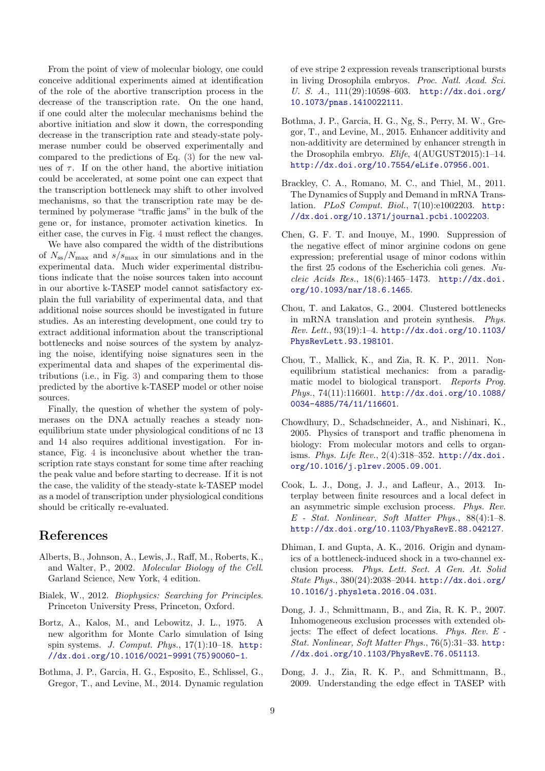From the point of view of molecular biology, one could conceive additional experiments aimed at identification of the role of the abortive transcription process in the decrease of the transcription rate. On the one hand, if one could alter the molecular mechanisms behind the abortive initiation and slow it down, the corresponding decrease in the transcription rate and steady-state polymerase number could be observed experimentally and compared to the predictions of Eq. [\(3\)](#page-3-0) for the new values of  $\tau$ . If on the other hand, the abortive initiation could be accelerated, at some point one can expect that the transcription bottleneck may shift to other involved mechanisms, so that the transcription rate may be determined by polymerase "traffic jams" in the bulk of the gene or, for instance, promoter activation kinetics. In either case, the curves in Fig. [4](#page-6-0) must reflect the changes.

We have also compared the width of the distributions of  $N_{\rm ss}/N_{\rm max}$  and  $s/s_{\rm max}$  in our simulations and in the experimental data. Much wider experimental distributions indicate that the noise sources taken into account in our abortive k-TASEP model cannot satisfactory explain the full variability of experimental data, and that additional noise sources should be investigated in future studies. As an interesting development, one could try to extract additional information about the transcriptional bottlenecks and noise sources of the system by analyzing the noise, identifying noise signatures seen in the experimental data and shapes of the experimental distributions (i.e., in Fig. [3\)](#page-5-0) and comparing them to those predicted by the abortive k-TASEP model or other noise sources.

Finally, the question of whether the system of polymerases on the DNA actually reaches a steady nonequilibrium state under physiological conditions of nc 13 and 14 also requires additional investigation. For instance, Fig. [4](#page-6-0) is inconclusive about whether the transcription rate stays constant for some time after reaching the peak value and before starting to decrease. If it is not the case, the validity of the steady-state k-TASEP model as a model of transcription under physiological conditions should be critically re-evaluated.

### References

- <span id="page-8-0"></span>Alberts, B., Johnson, A., Lewis, J., Raff, M., Roberts, K., and Walter, P., 2002. Molecular Biology of the Cell. Garland Science, New York, 4 edition.
- <span id="page-8-1"></span>Bialek, W., 2012. Biophysics: Searching for Principles. Princeton University Press, Princeton, Oxford.
- <span id="page-8-12"></span>Bortz, A., Kalos, M., and Lebowitz, J. L., 1975. A new algorithm for Monte Carlo simulation of Ising spin systems. J. Comput. Phys., 17(1):10–18. [http:](http://dx.doi.org/10.1016/0021-9991(75)90060-1) [//dx.doi.org/10.1016/0021-9991\(75\)90060-1](http://dx.doi.org/10.1016/0021-9991(75)90060-1).
- <span id="page-8-2"></span>Bothma, J. P., Garcia, H. G., Esposito, E., Schlissel, G., Gregor, T., and Levine, M., 2014. Dynamic regulation

of eve stripe 2 expression reveals transcriptional bursts in living Drosophila embryos. Proc. Natl. Acad. Sci. U. S. A., 111(29):10598–603. [http://dx.doi.org/](http://dx.doi.org/10.1073/pnas.1410022111) [10.1073/pnas.1410022111](http://dx.doi.org/10.1073/pnas.1410022111).

- <span id="page-8-3"></span>Bothma, J. P., Garcia, H. G., Ng, S., Perry, M. W., Gregor, T., and Levine, M., 2015. Enhancer additivity and non-additivity are determined by enhancer strength in the Drosophila embryo. Elife, 4(AUGUST2015):1–14. <http://dx.doi.org/10.7554/eLife.07956.001>.
- <span id="page-8-11"></span>Brackley, C. A., Romano, M. C., and Thiel, M., 2011. The Dynamics of Supply and Demand in mRNA Translation. PLoS Comput. Biol., 7(10):e1002203. [http:](http://dx.doi.org/10.1371/journal.pcbi.1002203) [//dx.doi.org/10.1371/journal.pcbi.1002203](http://dx.doi.org/10.1371/journal.pcbi.1002203).
- <span id="page-8-13"></span>Chen, G. F. T. and Inouye, M., 1990. Suppression of the negative effect of minor arginine codons on gene expression; preferential usage of minor codons within the first 25 codons of the Escherichia coli genes. Nucleic Acids Res., 18(6):1465–1473. [http://dx.doi.](http://dx.doi.org/10.1093/nar/18.6.1465) [org/10.1093/nar/18.6.1465](http://dx.doi.org/10.1093/nar/18.6.1465).
- <span id="page-8-6"></span>Chou, T. and Lakatos, G., 2004. Clustered bottlenecks in mRNA translation and protein synthesis. Phys. Rev. Lett., 93(19):1–4. [http://dx.doi.org/10.1103/](http://dx.doi.org/10.1103/PhysRevLett.93.198101) [PhysRevLett.93.198101](http://dx.doi.org/10.1103/PhysRevLett.93.198101).
- <span id="page-8-4"></span>Chou, T., Mallick, K., and Zia, R. K. P., 2011. Nonequilibrium statistical mechanics: from a paradigmatic model to biological transport. Reports Prog. Phys., 74(11):116601. [http://dx.doi.org/10.1088/](http://dx.doi.org/10.1088/0034-4885/74/11/116601) [0034-4885/74/11/116601](http://dx.doi.org/10.1088/0034-4885/74/11/116601).
- <span id="page-8-7"></span>Chowdhury, D., Schadschneider, A., and Nishinari, K., 2005. Physics of transport and traffic phenomena in biology: From molecular motors and cells to organisms. Phys. Life Rev., 2(4):318–352. [http://dx.doi.](http://dx.doi.org/10.1016/j.plrev.2005.09.001) [org/10.1016/j.plrev.2005.09.001](http://dx.doi.org/10.1016/j.plrev.2005.09.001).
- <span id="page-8-8"></span>Cook, L. J., Dong, J. J., and Lafleur, A., 2013. Interplay between finite resources and a local defect in an asymmetric simple exclusion process. Phys. Rev. E - Stat. Nonlinear, Soft Matter Phys., 88(4):1–8. <http://dx.doi.org/10.1103/PhysRevE.88.042127>.
- <span id="page-8-9"></span>Dhiman, I. and Gupta, A. K., 2016. Origin and dynamics of a bottleneck-induced shock in a two-channel exclusion process. Phys. Lett. Sect. A Gen. At. Solid State Phys., 380(24):2038–2044. [http://dx.doi.org/](http://dx.doi.org/10.1016/j.physleta.2016.04.031) [10.1016/j.physleta.2016.04.031](http://dx.doi.org/10.1016/j.physleta.2016.04.031).
- <span id="page-8-10"></span>Dong, J. J., Schmittmann, B., and Zia, R. K. P., 2007. Inhomogeneous exclusion processes with extended objects: The effect of defect locations. Phys. Rev. E - Stat. Nonlinear, Soft Matter Phys., 76(5):31–33. [http:](http://dx.doi.org/10.1103/PhysRevE.76.051113) [//dx.doi.org/10.1103/PhysRevE.76.051113](http://dx.doi.org/10.1103/PhysRevE.76.051113).
- <span id="page-8-5"></span>Dong, J. J., Zia, R. K. P., and Schmittmann, B., 2009. Understanding the edge effect in TASEP with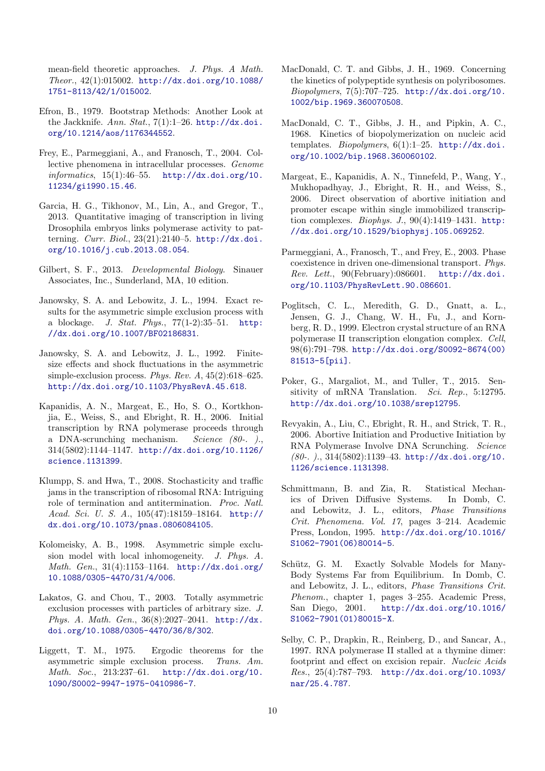mean-field theoretic approaches. J. Phys. A Math. Theor., 42(1):015002. [http://dx.doi.org/10.1088/](http://dx.doi.org/10.1088/1751-8113/42/1/015002) [1751-8113/42/1/015002](http://dx.doi.org/10.1088/1751-8113/42/1/015002).

- <span id="page-9-20"></span>Efron, B., 1979. Bootstrap Methods: Another Look at the Jackknife. Ann. Stat.,  $7(1):1-26$ . [http://dx.doi.](http://dx.doi.org/10.1214/aos/1176344552) [org/10.1214/aos/1176344552](http://dx.doi.org/10.1214/aos/1176344552).
- <span id="page-9-9"></span>Frey, E., Parmeggiani, A., and Franosch, T., 2004. Collective phenomena in intracellular processes. Genome informatics, 15(1):46–55. [http://dx.doi.org/10.](http://dx.doi.org/10.11234/gi1990.15.46) [11234/gi1990.15.46](http://dx.doi.org/10.11234/gi1990.15.46).
- <span id="page-9-1"></span>Garcia, H. G., Tikhonov, M., Lin, A., and Gregor, T., 2013. Quantitative imaging of transcription in living Drosophila embryos links polymerase activity to patterning. Curr. Biol., 23(21):2140–5. [http://dx.doi.](http://dx.doi.org/10.1016/j.cub.2013.08.054) [org/10.1016/j.cub.2013.08.054](http://dx.doi.org/10.1016/j.cub.2013.08.054).
- <span id="page-9-0"></span>Gilbert, S. F., 2013. Developmental Biology. Sinauer Associates, Inc., Sunderland, MA, 10 edition.
- <span id="page-9-18"></span>Janowsky, S. A. and Lebowitz, J. L., 1994. Exact results for the asymmetric simple exclusion process with a blockage. J. Stat. Phys., 77(1-2):35–51. [http:](http://dx.doi.org/10.1007/BF02186831) [//dx.doi.org/10.1007/BF02186831](http://dx.doi.org/10.1007/BF02186831).
- <span id="page-9-17"></span>Janowsky, S. A. and Lebowitz, J. L., 1992. Finitesize effects and shock fluctuations in the asymmetric simple-exclusion process. Phys. Rev. A, 45(2):618–625. <http://dx.doi.org/10.1103/PhysRevA.45.618>.
- <span id="page-9-6"></span>Kapanidis, A. N., Margeat, E., Ho, S. O., Kortkhonjia, E., Weiss, S., and Ebright, R. H., 2006. Initial transcription by RNA polymerase proceeds through a DNA-scrunching mechanism. Science (80-. )., 314(5802):1144–1147. [http://dx.doi.org/10.1126/](http://dx.doi.org/10.1126/science.1131399) [science.1131399](http://dx.doi.org/10.1126/science.1131399).
- <span id="page-9-15"></span>Klumpp, S. and Hwa, T., 2008. Stochasticity and traffic jams in the transcription of ribosomal RNA: Intriguing role of termination and antitermination. Proc. Natl. Acad. Sci. U. S. A., 105(47):18159–18164. [http://](http://dx.doi.org/10.1073/pnas.0806084105) [dx.doi.org/10.1073/pnas.0806084105](http://dx.doi.org/10.1073/pnas.0806084105).
- <span id="page-9-16"></span>Kolomeisky, A. B., 1998. Asymmetric simple exclusion model with local inhomogeneity. J. Phys. A. Math. Gen., 31(4):1153–1164. [http://dx.doi.org/](http://dx.doi.org/10.1088/0305-4470/31/4/006) [10.1088/0305-4470/31/4/006](http://dx.doi.org/10.1088/0305-4470/31/4/006).
- <span id="page-9-19"></span>Lakatos, G. and Chou, T., 2003. Totally asymmetric exclusion processes with particles of arbitrary size. J. Phys. A. Math. Gen., 36(8):2027–2041. [http://dx.](http://dx.doi.org/10.1088/0305-4470/36/8/302) [doi.org/10.1088/0305-4470/36/8/302](http://dx.doi.org/10.1088/0305-4470/36/8/302).
- <span id="page-9-11"></span>Liggett, T. M., 1975. Ergodic theorems for the asymmetric simple exclusion process. Trans. Am. Math. Soc., 213:237–61. [http://dx.doi.org/10.](http://dx.doi.org/10.1090/S0002-9947-1975-0410986-7) [1090/S0002-9947-1975-0410986-7](http://dx.doi.org/10.1090/S0002-9947-1975-0410986-7).
- <span id="page-9-8"></span>MacDonald, C. T. and Gibbs, J. H., 1969. Concerning the kinetics of polypeptide synthesis on polyribosomes. Biopolymers, 7(5):707–725. [http://dx.doi.org/10.](http://dx.doi.org/10.1002/bip.1969.360070508) [1002/bip.1969.360070508](http://dx.doi.org/10.1002/bip.1969.360070508).
- <span id="page-9-7"></span>MacDonald, C. T., Gibbs, J. H., and Pipkin, A. C., 1968. Kinetics of biopolymerization on nucleic acid templates. Biopolymers, 6(1):1–25. [http://dx.doi.](http://dx.doi.org/10.1002/bip.1968.360060102) [org/10.1002/bip.1968.360060102](http://dx.doi.org/10.1002/bip.1968.360060102).
- <span id="page-9-5"></span>Margeat, E., Kapanidis, A. N., Tinnefeld, P., Wang, Y., Mukhopadhyay, J., Ebright, R. H., and Weiss, S., 2006. Direct observation of abortive initiation and promoter escape within single immobilized transcription complexes. Biophys. J.,  $90(4):1419-1431$ . [http:](http://dx.doi.org/10.1529/biophysj.105.069252) [//dx.doi.org/10.1529/biophysj.105.069252](http://dx.doi.org/10.1529/biophysj.105.069252).
- <span id="page-9-10"></span>Parmeggiani, A., Franosch, T., and Frey, E., 2003. Phase coexistence in driven one-dimensional transport. Phys. Rev. Lett., 90(February):086601. [http://dx.doi.](http://dx.doi.org/10.1103/PhysRevLett.90.086601) [org/10.1103/PhysRevLett.90.086601](http://dx.doi.org/10.1103/PhysRevLett.90.086601).
- <span id="page-9-13"></span>Poglitsch, C. L., Meredith, G. D., Gnatt, a. L., Jensen, G. J., Chang, W. H., Fu, J., and Kornberg, R. D., 1999. Electron crystal structure of an RNA polymerase II transcription elongation complex. Cell, 98(6):791–798. [http://dx.doi.org/S0092-8674\(00\)](http://dx.doi.org/S0092-8674(00)81513-5 [pii]) [81513-5\[pii\]](http://dx.doi.org/S0092-8674(00)81513-5 [pii]).
- <span id="page-9-14"></span>Poker, G., Margaliot, M., and Tuller, T., 2015. Sensitivity of mRNA Translation. Sci. Rep., 5:12795. <http://dx.doi.org/10.1038/srep12795>.
- <span id="page-9-4"></span>Revyakin, A., Liu, C., Ebright, R. H., and Strick, T. R., 2006. Abortive Initiation and Productive Initiation by RNA Polymerase Involve DNA Scrunching. Science (80-. )., 314(5802):1139–43. [http://dx.doi.org/10.](http://dx.doi.org/10.1126/science.1131398) [1126/science.1131398](http://dx.doi.org/10.1126/science.1131398).
- <span id="page-9-3"></span>Schmittmann, B. and Zia, R. Statistical Mechanics of Driven Diffusive Systems. In Domb, C. and Lebowitz, J. L., editors, Phase Transitions Crit. Phenomena. Vol. 17, pages 3–214. Academic Press, London, 1995. [http://dx.doi.org/10.1016/](http://dx.doi.org/10.1016/S1062-7901(06)80014-5) [S1062-7901\(06\)80014-5](http://dx.doi.org/10.1016/S1062-7901(06)80014-5).
- <span id="page-9-2"></span>Schütz, G. M. Exactly Solvable Models for Many-Body Systems Far from Equilibrium. In Domb, C. and Lebowitz, J. L., editors, Phase Transitions Crit. Phenom., chapter 1, pages 3–255. Academic Press, San Diego, 2001. [http://dx.doi.org/10.1016/](http://dx.doi.org/10.1016/S1062-7901(01)80015-X) [S1062-7901\(01\)80015-X](http://dx.doi.org/10.1016/S1062-7901(01)80015-X).
- <span id="page-9-12"></span>Selby, C. P., Drapkin, R., Reinberg, D., and Sancar, A., 1997. RNA polymerase II stalled at a thymine dimer: footprint and effect on excision repair. Nucleic Acids Res., 25(4):787–793. [http://dx.doi.org/10.1093/](http://dx.doi.org/10.1093/nar/25.4.787) [nar/25.4.787](http://dx.doi.org/10.1093/nar/25.4.787).